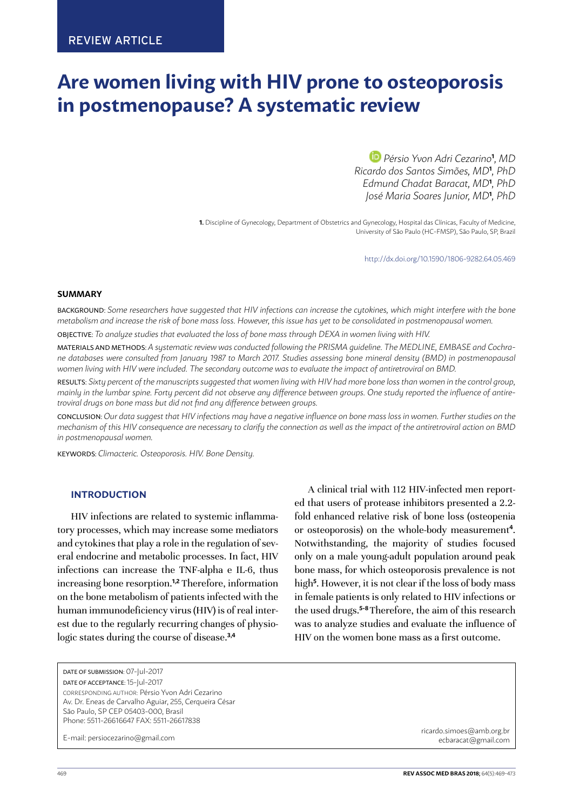# **Are women living with HIV prone to osteoporosis in postmenopause? A systematic review**

 *Pérsio Yvon Adri Cezarino***<sup>1</sup>** *, MD Ricardo dos Santos Simões, MD***<sup>1</sup>** *, PhD Edmund Chadat Baracat, MD***<sup>1</sup>** *, PhD José Maria Soares Junior, MD***<sup>1</sup>** *, PhD*

**1.** Discipline of Gynecology, Department of Obstetrics and Gynecology, Hospital das Clínicas, Faculty of Medicine, University of São Paulo (HC-FMSP), São Paulo, SP, Brazil

http://dx.doi.org/10.1590/1806-9282.64.05.469

#### **SUMMARY**

BACKGROUND: *Some researchers have suggested that HIV infections can increase the cytokines, which might interfere with the bone metabolism and increase the risk of bone mass loss. However, this issue has yet to be consolidated in postmenopausal women.* OBJECTIVE: *To analyze studies that evaluated the loss of bone mass through DEXA in women living with HIV.*

MATERIALS AND METHODS: *A systematic review was conducted following the PRISMA guideline. The MEDLINE, EMBASE and Cochrane databases were consulted from January 1987 to March 2017. Studies assessing bone mineral density (BMD) in postmenopausal* 

women living with HIV were included. The secondary outcome was to evaluate the impact of antiretroviral on BMD.

RESULTS: *Sixty percent of the manuscripts suggested that women living with HIV had more bone loss than women in the control group, mainly in the lumbar spine. Forty percent did not observe any difference between groups. One study reported the influence of antiretroviral drugs on bone mass but did not find any difference between groups.*

CONCLUSION: *Our data suggest that HIV infections may have a negative influence on bone mass loss in women. Further studies on the mechanism of this HIV consequence are necessary to clarify the connection as well as the impact of the antiretroviral action on BMD in postmenopausal women.*

KEYWORDS: *Climacteric. Osteoporosis. HIV. Bone Density.*

## **INTRODUCTION**

HIV infections are related to systemic inflammatory processes, which may increase some mediators and cytokines that play a role in the regulation of several endocrine and metabolic processes. In fact, HIV infections can increase the TNF-alpha e IL-6, thus increasing bone resorption.**1,2** Therefore, information on the bone metabolism of patients infected with the human immunodeficiency virus (HIV) is of real interest due to the regularly recurring changes of physiologic states during the course of disease.**3,4**

ed that users of protease inhibitors presented a 2.2 fold enhanced relative risk of bone loss (osteopenia or osteoporosis) on the whole-body measurement**<sup>4</sup>** . Notwithstanding, the majority of studies focused only on a male young-adult population around peak bone mass, for which osteoporosis prevalence is not high**<sup>5</sup>** . However, it is not clear if the loss of body mass in female patients is only related to HIV infections or the used drugs.**5-8** Therefore, the aim of this research was to analyze studies and evaluate the influence of HIV on the women bone mass as a first outcome.

A clinical trial with 112 HIV-infected men report-

E-mail: persiocezarino@gmail.com

[ricardo.simoes@amb.org.br](mailto:ricardo.simoes@amb.org.br) [ecbaracat@gmail.com](mailto:ecbaracat@gmail.com)

DATE OF SUBMISSION: 07-Jul-2017 DATE OF ACCEPTANCE: 15-Jul-2017

CORRESPONDING AUTHOR: Pérsio Yvon Adri Cezarino Av. Dr. Eneas de Carvalho Aguiar, 255, Cerqueira César São Paulo, SP CEP 05403-000, Brasil Phone: 5511-26616647 FAX: 5511-26617838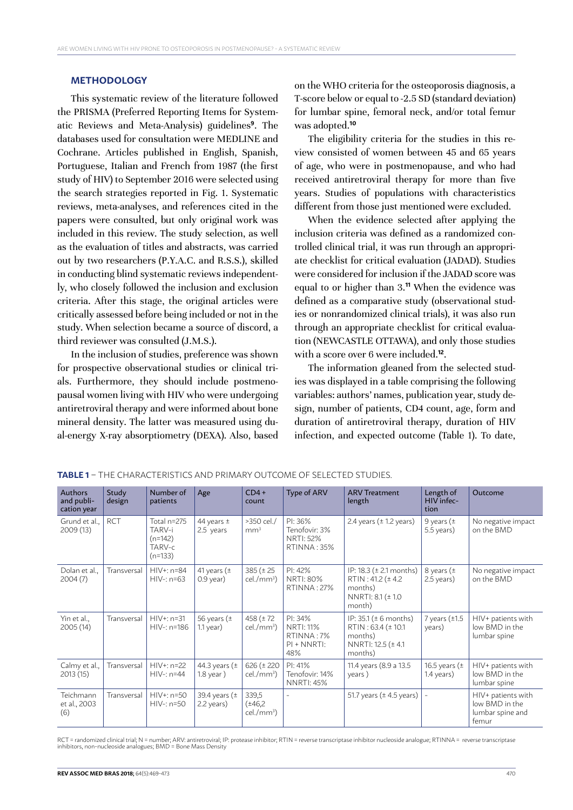#### **METHODOLOGY**

This systematic review of the literature followed the PRISMA (Preferred Reporting Items for Systematic Reviews and Meta-Analysis) guidelines**<sup>9</sup>** . The databases used for consultation were MEDLINE and Cochrane. Articles published in English, Spanish, Portuguese, Italian and French from 1987 (the first study of HIV) to September 2016 were selected using the search strategies reported in Fig. 1. Systematic reviews, meta-analyses, and references cited in the papers were consulted, but only original work was included in this review. The study selection, as well as the evaluation of titles and abstracts, was carried out by two researchers (P.Y.A.C. and R.S.S.), skilled in conducting blind systematic reviews independently, who closely followed the inclusion and exclusion criteria. After this stage, the original articles were critically assessed before being included or not in the study. When selection became a source of discord, a third reviewer was consulted (J.M.S.).

In the inclusion of studies, preference was shown for prospective observational studies or clinical trials. Furthermore, they should include postmenopausal women living with HIV who were undergoing antiretroviral therapy and were informed about bone mineral density. The latter was measured using dual-energy X-ray absorptiometry (DEXA). Also, based on the WHO criteria for the osteoporosis diagnosis, a T-score below or equal to -2.5 SD (standard deviation) for lumbar spine, femoral neck, and/or total femur was adopted.**<sup>10</sup>**

The eligibility criteria for the studies in this review consisted of women between 45 and 65 years of age, who were in postmenopause, and who had received antiretroviral therapy for more than five years. Studies of populations with characteristics different from those just mentioned were excluded.

When the evidence selected after applying the inclusion criteria was defined as a randomized controlled clinical trial, it was run through an appropriate checklist for critical evaluation (JADAD). Studies were considered for inclusion if the JADAD score was equal to or higher than 3.**<sup>11</sup>** When the evidence was defined as a comparative study (observational studies or nonrandomized clinical trials), it was also run through an appropriate checklist for critical evaluation (NEWCASTLE OTTAWA), and only those studies with a score over 6 were included.**<sup>12</sup>**.

The information gleaned from the selected studies was displayed in a table comprising the following variables: authors' names, publication year, study design, number of patients, CD4 count, age, form and duration of antiretroviral therapy, duration of HIV infection, and expected outcome (Table 1). To date,

| <b>Authors</b><br>and publi-<br>cation year | Study<br>design | Number of<br>patients                                     | Age                             | $CD4+$<br>count                    | Type of ARV                                                      | <b>ARV Treatment</b><br>length                                                                       | Length of<br>HIV infec-<br>tion    | Outcome                                                           |
|---------------------------------------------|-----------------|-----------------------------------------------------------|---------------------------------|------------------------------------|------------------------------------------------------------------|------------------------------------------------------------------------------------------------------|------------------------------------|-------------------------------------------------------------------|
| Grund et al.,<br>2009 (13)                  | <b>RCT</b>      | Total n=275<br>TARV-i<br>$(n=142)$<br>TARV-c<br>$(n=133)$ | 44 years $\pm$<br>2.5 years     | >350 cel./<br>mm <sup>3</sup>      | $PI: 36\%$<br>Tenofovir: 3%<br><b>NRTI: 52%</b><br>RTINNA: 35%   | 2.4 years $(\pm 1.2 \text{ years})$                                                                  | 9 years ( $\pm$<br>5.5 years)      | No negative impact<br>on the BMD                                  |
| Dolan et al.,<br>2004(7)                    | Transversal     | $HIV+: n=84$<br>$HIV-: n=63$                              | 41 years ( $\pm$<br>$0.9$ year) | 385 (± 25)<br>$cel./mm3$ )         | PI: 42%<br><b>NRTI: 80%</b><br><b>RTINNA: 27%</b>                | IP: 18.3 (± 2.1 months)<br>$RTIN: 41.2 (\pm 4.2)$<br>months)<br>NNRTI: 8.1 (± 1.0<br>month)          | 8 years ( $\pm$<br>2.5 years)      | No negative impact<br>on the BMD                                  |
| Yin et al.,<br>2005(14)                     | Transversal     | $HIV+: n=31$<br>HIV-: n=186                               | 56 years ( $±$<br>$1.1$ year)   | 458 ( $± 72$<br>$cel./mm3$ )       | PI: 34%<br><b>NRTI: 11%</b><br>RTINNA: 7%<br>$PI + NNRTI$<br>48% | IP: 35.1 ( $\pm$ 6 months)<br>RTIN: $63.4$ ( $\pm$ 10.1<br>months)<br>NNRTI: 12.5 (± 4.1)<br>months) | 7 years $(\pm 1.5)$<br>years)      | HIV+ patients with<br>low BMD in the<br>lumbar spine              |
| Calmy et al.,<br>2013 (15)                  | Transversal     | $HIV+: n=22$<br>$HIV-: n=44$                              | 44.3 years $(±$<br>$1.8$ year)  | 626 (± 220<br>$cel./mm^3)$         | PI: 41%<br>Tenofovir: 14%<br><b>NNRTI: 45%</b>                   | 11.4 years (8.9 a 13.5<br>years)                                                                     | 16.5 years ( $\pm$<br>$1.4$ years) | HIV+ patients with<br>low BMD in the<br>lumbar spine              |
| Teichmann<br>et al., 2003<br>(6)            | Transversal     | $HIV+: n=50$<br>$HIV-: n=50$                              | 39.4 years $(\pm$<br>2.2 years) | 339,5<br>$(*46,2)$<br>$cel./mm3$ ) |                                                                  | 51.7 years $(\pm 4.5$ years)                                                                         |                                    | HIV+ patients with<br>low BMD in the<br>lumbar spine and<br>femur |

**TABLE 1** – THE CHARACTERISTICS AND PRIMARY OUTCOME OF SELECTED STUDIES.

RCT = randomized clinical trial; N = number; ARV: antiretroviral; IP: protease inhibitor; RTIN = reverse transcriptase inhibitor nucleoside analogue; RTINNA = reverse transcriptase<br>inhibitors, non-nucleoside analogues; BMD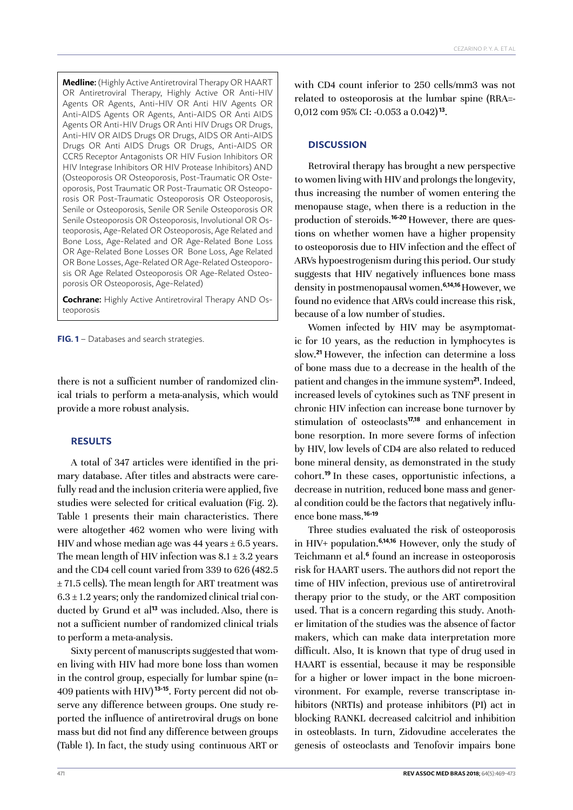**Medline:** (Highly Active Antiretroviral Therapy OR HAART OR Antiretroviral Therapy, Highly Active OR Anti-HIV Agents OR Agents, Anti-HIV OR Anti HIV Agents OR Anti-AIDS Agents OR Agents, Anti-AIDS OR Anti AIDS Agents OR Anti-HIV Drugs OR Anti HIV Drugs OR Drugs, Anti-HIV OR AIDS Drugs OR Drugs, AIDS OR Anti-AIDS Drugs OR Anti AIDS Drugs OR Drugs, Anti-AIDS OR CCR5 Receptor Antagonists OR HIV Fusion Inhibitors OR HIV Integrase Inhibitors OR HIV Protease Inhibitors) AND (Osteoporosis OR Osteoporosis, Post-Traumatic OR Osteoporosis, Post Traumatic OR Post-Traumatic OR Osteoporosis OR Post-Traumatic Osteoporosis OR Osteoporosis, Senile or Osteoporosis, Senile OR Senile Osteoporosis OR Senile Osteoporosis OR Osteoporosis, Involutional OR Osteoporosis, Age-Related OR Osteoporosis, Age Related and Bone Loss, Age-Related and OR Age-Related Bone Loss OR Age-Related Bone Losses OR Bone Loss, Age Related OR Bone Losses, Age-Related OR Age-Related Osteoporosis OR Age Related Osteoporosis OR Age-Related Osteoporosis OR Osteoporosis, Age-Related)

**Cochrane:** Highly Active Antiretroviral Therapy AND Osteoporosis

**FIG. 1** – Databases and search strategies.

there is not a sufficient number of randomized clinical trials to perform a meta-analysis, which would provide a more robust analysis.

# **RESULTS**

A total of 347 articles were identified in the primary database. After titles and abstracts were carefully read and the inclusion criteria were applied, five studies were selected for critical evaluation (Fig. 2). Table 1 presents their main characteristics. There were altogether 462 women who were living with HIV and whose median age was  $44$  years  $\pm$  6.5 years. The mean length of HIV infection was  $8.1 \pm 3.2$  years and the CD4 cell count varied from 339 to 626 (482.5 ± 71.5 cells). The mean length for ART treatment was  $6.3 \pm 1.2$  years; only the randomized clinical trial conducted by Grund et al<sup>13</sup> was included. Also, there is not a sufficient number of randomized clinical trials to perform a meta-analysis.

Sixty percent of manuscripts suggested that women living with HIV had more bone loss than women in the control group, especially for lumbar spine (n= 409 patients with HIV) **13-15**. Forty percent did not observe any difference between groups. One study reported the influence of antiretroviral drugs on bone mass but did not find any difference between groups (Table 1). In fact, the study using continuous ART or with CD4 count inferior to 250 cells/mm3 was not related to osteoporosis at the lumbar spine (RRA=- 0,012 com 95% CI: -0.053 a 0.042)**<sup>13</sup>**.

## **DISCUSSION**

Retroviral therapy has brought a new perspective to women living with HIV and prolongs the longevity, thus increasing the number of women entering the menopause stage, when there is a reduction in the production of steroids.**16-20** However, there are questions on whether women have a higher propensity to osteoporosis due to HIV infection and the effect of ARVs hypoestrogenism during this period. Our study suggests that HIV negatively influences bone mass density in postmenopausal women.**6,14,16** However, we found no evidence that ARVs could increase this risk, because of a low number of studies.

Women infected by HIV may be asymptomatic for 10 years, as the reduction in lymphocytes is slow.**<sup>21</sup>**However, the infection can determine a loss of bone mass due to a decrease in the health of the patient and changes in the immune system**<sup>21</sup>**. Indeed, increased levels of cytokines such as TNF present in chronic HIV infection can increase bone turnover by stimulation of osteoclasts**17,18** and enhancement in bone resorption. In more severe forms of infection by HIV, low levels of CD4 are also related to reduced bone mineral density, as demonstrated in the study cohort.**<sup>19</sup>**In these cases, opportunistic infections, a decrease in nutrition, reduced bone mass and general condition could be the factors that negatively influence bone mass.**16-19**

Three studies evaluated the risk of osteoporosis in HIV+ population.**6,14,16** However, only the study of Teichmann et al.**<sup>6</sup>** found an increase in osteoporosis risk for HAART users. The authors did not report the time of HIV infection, previous use of antiretroviral therapy prior to the study, or the ART composition used. That is a concern regarding this study. Another limitation of the studies was the absence of factor makers, which can make data interpretation more difficult. Also, It is known that type of drug used in HAART is essential, because it may be responsible for a higher or lower impact in the bone microenvironment. For example, reverse transcriptase inhibitors (NRTIs) and protease inhibitors (PI) act in blocking RANKL decreased calcitriol and inhibition in osteoblasts. In turn, Zidovudine accelerates the genesis of osteoclasts and Tenofovir impairs bone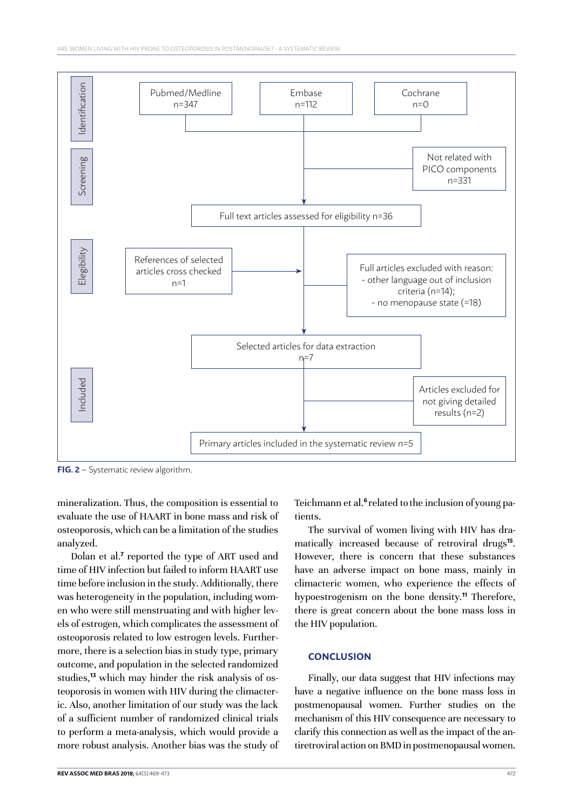

**FIG. 2** – Systematic review algorithm.

mineralization. Thus, the composition is essential to evaluate the use of HAART in bone mass and risk of osteoporosis, which can be a limitation of the studies analyzed.

Dolan et al.<sup>7</sup> reported the type of ART used and time of HIV infection but failed to inform HAART use time before inclusion in the study. Additionally, there was heterogeneity in the population, including women who were still menstruating and with higher levels of estrogen, which complicates the assessment of osteoporosis related to low estrogen levels. Furthermore, there is a selection bias in study type, primary outcome, and population in the selected randomized studies,**13** which may hinder the risk analysis of osteoporosis in women with HIV during the climacteric. Also, another limitation of our study was the lack of a sufficient number of randomized clinical trials to perform a meta-analysis, which would provide a more robust analysis. Another bias was the study of Teichmann et al.**6** related tothe inclusion ofyoung patients.

The survival of women living with HIV has dramatically increased because of retroviral drugs**<sup>15</sup>**. However, there is concern that these substances have an adverse impact on bone mass, mainly in climacteric women, who experience the effects of hypoestrogenism on the bone density.**<sup>11</sup>** Therefore, there is great concern about the bone mass loss in the HIV population.

### **CONCLUSION**

Finally, our data suggest that HIV infections may have a negative influence on the bone mass loss in postmenopausal women. Further studies on the mechanism of this HIV consequence are necessary to clarify this connection as well as the impact of the antiretroviral action on BMD in postmenopausal women.